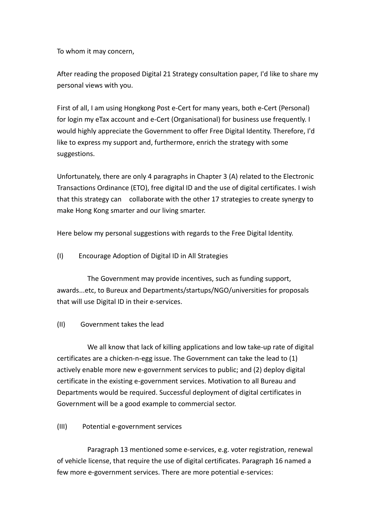To whom it may concern,

After reading the proposed Digital 21 Strategy consultation paper, I'd like to share my personal views with you.

First of all, I am using Hongkong Post e-Cert for many years, both e-Cert (Personal) for login my eTax account and e-Cert (Organisational) for business use frequently. I would highly appreciate the Government to offer Free Digital Identity. Therefore, I'd like to express my support and, furthermore, enrich the strategy with some suggestions.

Unfortunately, there are only 4 paragraphs in Chapter 3 (A) related to the Electronic Transactions Ordinance (ETO), free digital ID and the use of digital certificates. I wish that this strategy can collaborate with the other 17 strategies to create synergy to make Hong Kong smarter and our living smarter.

Here below my personal suggestions with regards to the Free Digital Identity.

(I) Encourage Adoption of Digital ID in All Strategies

 The Government may provide incentives, such as funding support, awards...etc, to Bureux and Departments/startups/NGO/universities for proposals that will use Digital ID in their e-services.

(II) Government takes the lead

 We all know that lack of killing applications and low take-up rate of digital certificates are a chicken-n-egg issue. The Government can take the lead to (1) actively enable more new e-government services to public; and (2) deploy digital certificate in the existing e-government services. Motivation to all Bureau and Departments would be required. Successful deployment of digital certificates in Government will be a good example to commercial sector.

(III) Potential e-government services

 Paragraph 13 mentioned some e-services, e.g. voter registration, renewal of vehicle license, that require the use of digital certificates. Paragraph 16 named a few more e-government services. There are more potential e-services: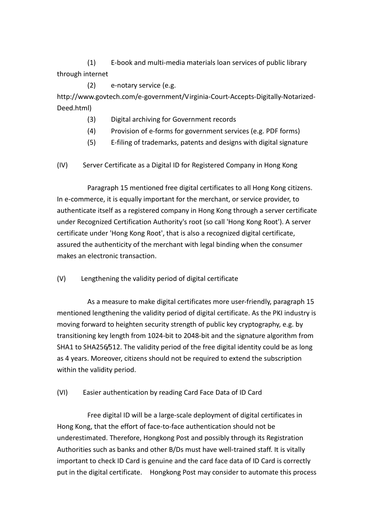(1) E-book and multi-media materials loan services of public library through internet

 (2) e-notary service (e.g. http://www.govtech.com/e-government/Virginia-Court-Accepts-Digitally-Notarized-Deed.html)

- (3) Digital archiving for Government records
- (4) Provision of e-forms for government services (e.g. PDF forms)
- (5) E-filing of trademarks, patents and designs with digital signature
- (IV) Server Certificate as a Digital ID for Registered Company in Hong Kong

 Paragraph 15 mentioned free digital certificates to all Hong Kong citizens. In e-commerce, it is equally important for the merchant, or service provider, to authenticate itself as a registered company in Hong Kong through a server certificate under Recognized Certification Authority's root (so call 'Hong Kong Root'). A server certificate under 'Hong Kong Root', that is also a recognized digital certificate, assured the authenticity of the merchant with legal binding when the consumer makes an electronic transaction.

(V) Lengthening the validity period of digital certificate

 As a measure to make digital certificates more user-friendly, paragraph 15 mentioned lengthening the validity period of digital certificate. As the PKI industry is moving forward to heighten security strength of public key cryptography, e.g. by transitioning key length from 1024-bit to 2048-bit and the signature algorithm from SHA1 to SHA256/512. The validity period of the free digital identity could be as long as 4 years. Moreover, citizens should not be required to extend the subscription within the validity period.

(VI) Easier authentication by reading Card Face Data of ID Card

 Free digital ID will be a large-scale deployment of digital certificates in Hong Kong, that the effort of face-to-face authentication should not be underestimated. Therefore, Hongkong Post and possibly through its Registration Authorities such as banks and other B/Ds must have well-trained staff. It is vitally important to check ID Card is genuine and the card face data of ID Card is correctly put in the digital certificate. Hongkong Post may consider to automate this process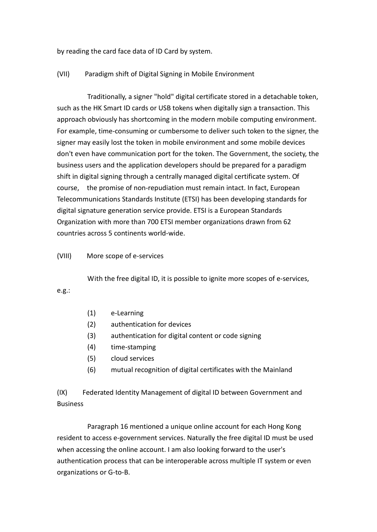by reading the card face data of ID Card by system.

## (VII) Paradigm shift of Digital Signing in Mobile Environment

 Traditionally, a signer "hold" digital certificate stored in a detachable token, such as the HK Smart ID cards or USB tokens when digitally sign a transaction. This approach obviously has shortcoming in the modern mobile computing environment. For example, time-consuming or cumbersome to deliver such token to the signer, the signer may easily lost the token in mobile environment and some mobile devices don't even have communication port for the token. The Government, the society, the business users and the application developers should be prepared for a paradigm shift in digital signing through a centrally managed digital certificate system. Of course, the promise of non-repudiation must remain intact. In fact, European Telecommunications Standards Institute (ETSI) has been developing standards for digital signature generation service provide. ETSI is a European Standards Organization with more than 700 ETSI member organizations drawn from 62 countries across 5 continents world-wide.

## (VIII) More scope of e-services

With the free digital ID, it is possible to ignite more scopes of e-services,

## e.g.:

- (1) e-Learning
- (2) authentication for devices
- (3) authentication for digital content or code signing
- (4) time-stamping
- (5) cloud services
- (6) mutual recognition of digital certificates with the Mainland

(IX) Federated Identity Management of digital ID between Government and Business

 Paragraph 16 mentioned a unique online account for each Hong Kong resident to access e-government services. Naturally the free digital ID must be used when accessing the online account. I am also looking forward to the user's authentication process that can be interoperable across multiple IT system or even organizations or G-to-B.